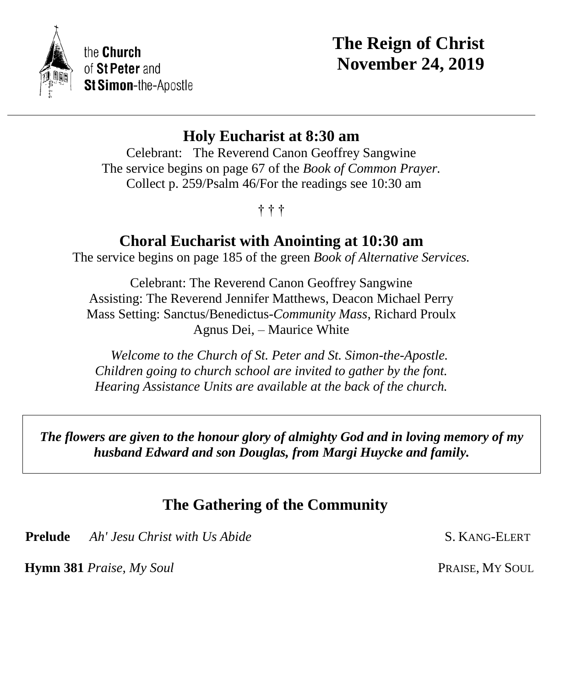

# **The Reign of Christ November 24, 2019**

## **Holy Eucharist at 8:30 am**

Celebrant: The Reverend Canon Geoffrey Sangwine The service begins on page 67 of the *Book of Common Prayer.* Collect p. 259/Psalm 46/For the readings see 10:30 am

### † † †

## **Choral Eucharist with Anointing at 10:30 am**

The service begins on page 185 of the green *Book of Alternative Services.*

Celebrant: The Reverend Canon Geoffrey Sangwine Assisting: The Reverend Jennifer Matthews, Deacon Michael Perry Mass Setting: Sanctus/Benedictus-*Community Mass*, Richard Proulx Agnus Dei, – Maurice White

 *Welcome to the Church of St. Peter and St. Simon-the-Apostle. Children going to church school are invited to gather by the font. Hearing Assistance Units are available at the back of the church.*

*The flowers are given to the honour glory of almighty God and in loving memory of my husband Edward and son Douglas, from Margi Huycke and family.*

## **The Gathering of the Community**

**Prelude** *Ah' Jesu Christ with Us Abide* **S. KANG-ELERT** 

**Hymn 381** *Praise, My Soul* **PRAISE, My SOUL**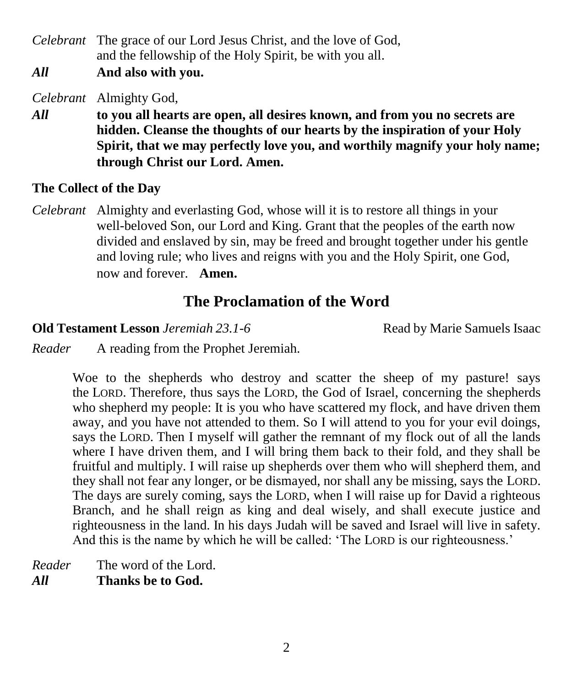*Celebrant* The grace of our Lord Jesus Christ, and the love of God, and the fellowship of the Holy Spirit, be with you all.

*All* **And also with you.**

*Celebrant* Almighty God,

*All* **to you all hearts are open, all desires known, and from you no secrets are hidden. Cleanse the thoughts of our hearts by the inspiration of your Holy Spirit, that we may perfectly love you, and worthily magnify your holy name; through Christ our Lord. Amen.** 

### **The Collect of the Day**

*Celebrant* Almighty and everlasting God, whose will it is to restore all things in your well-beloved Son, our Lord and King. Grant that the peoples of the earth now divided and enslaved by sin, may be freed and brought together under his gentle and loving rule; who lives and reigns with you and the Holy Spirit, one God, now and forever. **Amen.**

## **The Proclamation of the Word**

**Old Testament Lesson** *Jeremiah 23.1-6*Read by Marie Samuels Isaac

*Reader* A reading from the Prophet Jeremiah.

Woe to the shepherds who destroy and scatter the sheep of my pasture! says the LORD. Therefore, thus says the LORD, the God of Israel, concerning the shepherds who shepherd my people: It is you who have scattered my flock, and have driven them away, and you have not attended to them. So I will attend to you for your evil doings, says the LORD. Then I myself will gather the remnant of my flock out of all the lands where I have driven them, and I will bring them back to their fold, and they shall be fruitful and multiply. I will raise up shepherds over them who will shepherd them, and they shall not fear any longer, or be dismayed, nor shall any be missing, says the LORD. The days are surely coming, says the LORD, when I will raise up for David a righteous Branch, and he shall reign as king and deal wisely, and shall execute justice and righteousness in the land. In his days Judah will be saved and Israel will live in safety. And this is the name by which he will be called: 'The LORD is our righteousness.'

*Reader* The word of the Lord. *All* **Thanks be to God.**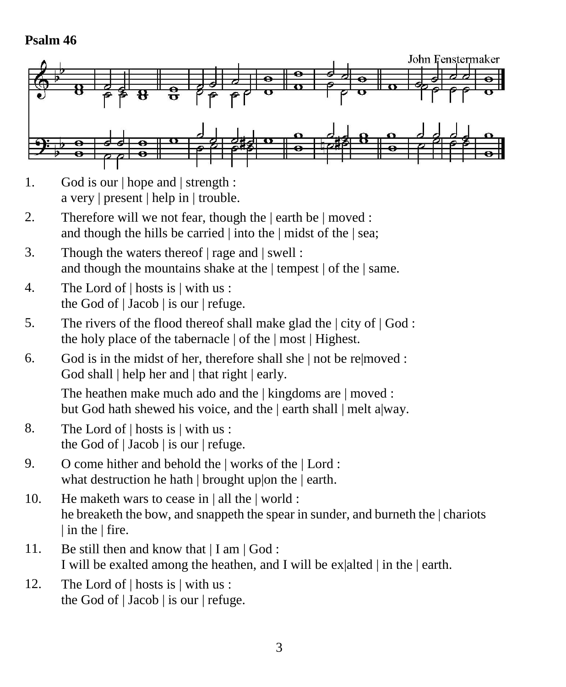### **Psalm 46**



- 1. God is our | hope and | strength : a very | present | help in | trouble.
- 2. Therefore will we not fear, though the | earth be | moved : and though the hills be carried | into the | midst of the | sea;
- 3. Though the waters thereof | rage and | swell : and though the mountains shake at the | tempest | of the | same.
- 4. The Lord of | hosts is | with us : the God of  $|$  Jacob  $|$  is our  $|$  refuge.
- 5. The rivers of the flood thereof shall make glad the | city of | God : the holy place of the tabernacle | of the | most | Highest.
- 6. God is in the midst of her, therefore shall she | not be re|moved : God shall | help her and | that right | early.

The heathen make much ado and the | kingdoms are | moved : but God hath shewed his voice, and the | earth shall | melt a|way.

- 8. The Lord of | hosts is | with us : the God of | Jacob | is our | refuge.
- 9. O come hither and behold the | works of the | Lord : what destruction he hath | brought uplon the | earth.
- 10. He maketh wars to cease in | all the | world : he breaketh the bow, and snappeth the spear in sunder, and burneth the | chariots | in the | fire.
- 11. Be still then and know that  $|I \text{ am } |$  God : I will be exalted among the heathen, and I will be ex|alted | in the | earth.
- 12. The Lord of | hosts is | with us : the God of | Jacob | is our | refuge.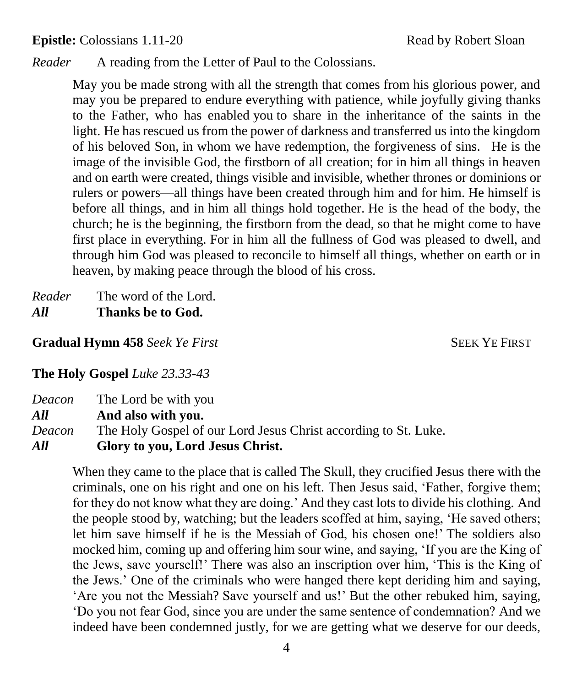**Epistle:** Colossians 1.11-20 Read by Robert Sloan

*Reader* A reading from the Letter of Paul to the Colossians.

May you be made strong with all the strength that comes from his glorious power, and may you be prepared to endure everything with patience, while joyfully giving thanks to the Father, who has enabled you to share in the inheritance of the saints in the light. He has rescued us from the power of darkness and transferred us into the kingdom of his beloved Son, in whom we have redemption, the forgiveness of sins. He is the image of the invisible God, the firstborn of all creation; for in him all things in heaven and on earth were created, things visible and invisible, whether thrones or dominions or rulers or powers—all things have been created through him and for him. He himself is before all things, and in him all things hold together. He is the head of the body, the church; he is the beginning, the firstborn from the dead, so that he might come to have first place in everything. For in him all the fullness of God was pleased to dwell, and through him God was pleased to reconcile to himself all things, whether on earth or in heaven, by making peace through the blood of his cross.

*Reader* The word of the Lord. *All* **Thanks be to God.**

**Gradual Hymn 458** Seek Ye First SEEK YE FIRST

**The Holy Gospel** *Luke 23.33-43*

*Deacon* The Lord be with you *All* **And also with you.** *Deacon* The Holy Gospel of our Lord Jesus Christ according to St. Luke. *All* **Glory to you, Lord Jesus Christ.**

When they came to the place that is called The Skull, they crucified Jesus there with the criminals, one on his right and one on his left. Then Jesus said, 'Father, forgive them; for they do not know what they are doing.' And they cast lots to divide his clothing. And the people stood by, watching; but the leaders scoffed at him, saying, 'He saved others; let him save himself if he is the Messiah of God, his chosen one!' The soldiers also mocked him, coming up and offering him sour wine, and saying, 'If you are the King of the Jews, save yourself!' There was also an inscription over him, 'This is the King of the Jews.' One of the criminals who were hanged there kept deriding him and saying, 'Are you not the Messiah? Save yourself and us!' But the other rebuked him, saying, 'Do you not fear God, since you are under the same sentence of condemnation? And we indeed have been condemned justly, for we are getting what we deserve for our deeds,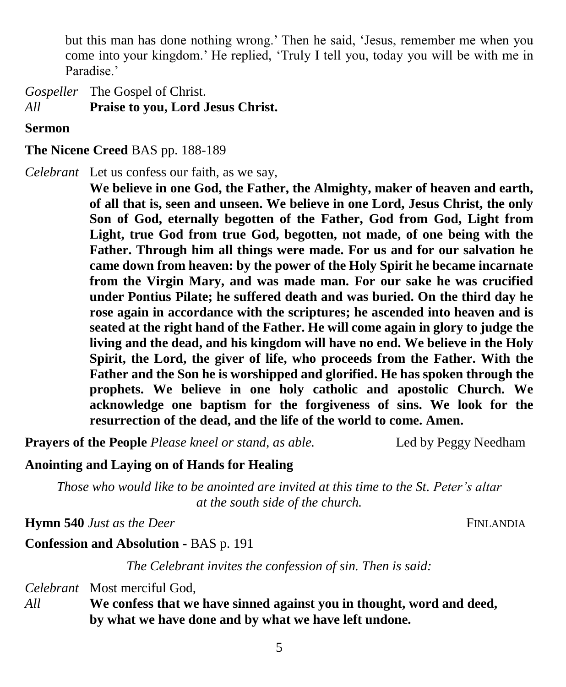but this man has done nothing wrong.' Then he said, 'Jesus, remember me when you come into your kingdom.' He replied, 'Truly I tell you, today you will be with me in Paradise.'

*Gospeller* The Gospel of Christ. *All* **Praise to you, Lord Jesus Christ.**

**Sermon**

#### **The Nicene Creed** BAS pp. 188-189

*Celebrant* Let us confess our faith, as we say,

**We believe in one God, the Father, the Almighty, maker of heaven and earth, of all that is, seen and unseen. We believe in one Lord, Jesus Christ, the only Son of God, eternally begotten of the Father, God from God, Light from Light, true God from true God, begotten, not made, of one being with the Father. Through him all things were made. For us and for our salvation he came down from heaven: by the power of the Holy Spirit he became incarnate from the Virgin Mary, and was made man. For our sake he was crucified under Pontius Pilate; he suffered death and was buried. On the third day he rose again in accordance with the scriptures; he ascended into heaven and is seated at the right hand of the Father. He will come again in glory to judge the living and the dead, and his kingdom will have no end. We believe in the Holy Spirit, the Lord, the giver of life, who proceeds from the Father. With the Father and the Son he is worshipped and glorified. He has spoken through the prophets. We believe in one holy catholic and apostolic Church. We acknowledge one baptism for the forgiveness of sins. We look for the resurrection of the dead, and the life of the world to come. Amen.**

**Prayers of the People** *Please kneel or stand, as able.* Led by Peggy Needham

#### **Anointing and Laying on of Hands for Healing**

*Those who would like to be anointed are invited at this time to the St. Peter's altar at the south side of the church.*

**Hymn 540** *Just as the Deer* FINLANDIA

**Confession and Absolution -** BAS p. 191

*The Celebrant invites the confession of sin. Then is said:*

*Celebrant* Most merciful God,

*All* **We confess that we have sinned against you in thought, word and deed, by what we have done and by what we have left undone.**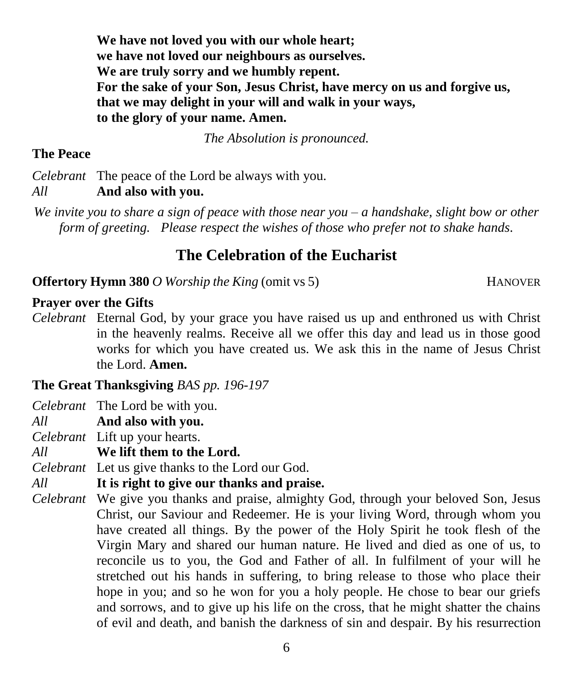**We have not loved you with our whole heart; we have not loved our neighbours as ourselves. We are truly sorry and we humbly repent. For the sake of your Son, Jesus Christ, have mercy on us and forgive us, that we may delight in your will and walk in your ways, to the glory of your name. Amen.**

*The Absolution is pronounced.*

#### **The Peace**

*Celebrant* The peace of the Lord be always with you.

*All* **And also with you.**

*We invite you to share a sign of peace with those near you – a handshake, slight bow or other form of greeting. Please respect the wishes of those who prefer not to shake hands.*

## **The Celebration of the Eucharist**

**Offertory Hymn 380** *O Worship the King* (omit vs 5) HANOVER

### **Prayer over the Gifts**

*Celebrant* Eternal God, by your grace you have raised us up and enthroned us with Christ in the heavenly realms. Receive all we offer this day and lead us in those good works for which you have created us. We ask this in the name of Jesus Christ the Lord. **Amen.**

**The Great Thanksgiving** *BAS pp. 196-197*

*Celebrant* The Lord be with you.

*All* **And also with you.**

*Celebrant* Lift up your hearts.

*All* **We lift them to the Lord.**

*Celebrant* Let us give thanks to the Lord our God.

*All* **It is right to give our thanks and praise.**

*Celebrant* We give you thanks and praise, almighty God, through your beloved Son, Jesus Christ, our Saviour and Redeemer. He is your living Word, through whom you have created all things. By the power of the Holy Spirit he took flesh of the Virgin Mary and shared our human nature. He lived and died as one of us, to reconcile us to you, the God and Father of all. In fulfilment of your will he stretched out his hands in suffering, to bring release to those who place their hope in you; and so he won for you a holy people. He chose to bear our griefs and sorrows, and to give up his life on the cross, that he might shatter the chains of evil and death, and banish the darkness of sin and despair. By his resurrection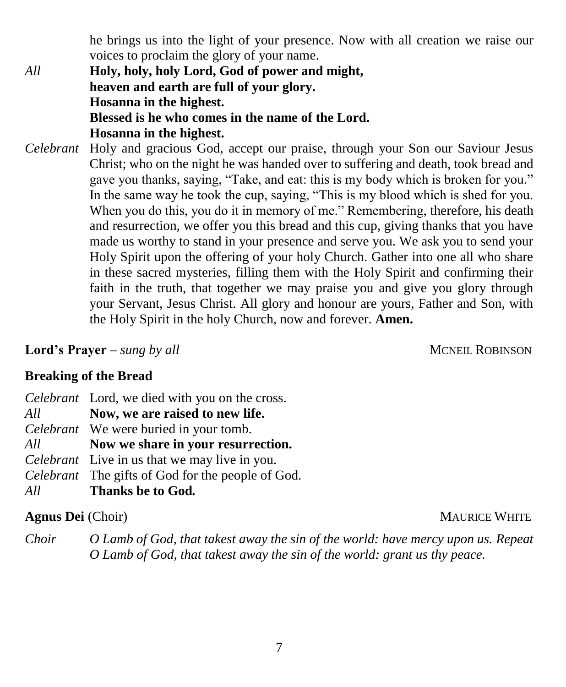he brings us into the light of your presence. Now with all creation we raise our voices to proclaim the glory of your name.

*All* **Holy, holy, holy Lord, God of power and might, heaven and earth are full of your glory. Hosanna in the highest. Blessed is he who comes in the name of the Lord. Hosanna in the highest.**

*Celebrant* Holy and gracious God, accept our praise, through your Son our Saviour Jesus Christ; who on the night he was handed over to suffering and death, took bread and gave you thanks, saying, "Take, and eat: this is my body which is broken for you." In the same way he took the cup, saying, "This is my blood which is shed for you. When you do this, you do it in memory of me." Remembering, therefore, his death and resurrection, we offer you this bread and this cup, giving thanks that you have made us worthy to stand in your presence and serve you. We ask you to send your Holy Spirit upon the offering of your holy Church. Gather into one all who share in these sacred mysteries, filling them with the Holy Spirit and confirming their faith in the truth, that together we may praise you and give you glory through your Servant, Jesus Christ. All glory and honour are yours, Father and Son, with the Holy Spirit in the holy Church, now and forever. **Amen.**

**Lord's Prayer** – *sung by all MCNEIL ROBINSON* 

### **Breaking of the Bread**

|     | <i>Celebrant</i> Lord, we died with you on the cross. |
|-----|-------------------------------------------------------|
| All | Now, we are raised to new life.                       |
|     | <i>Celebrant</i> We were buried in your tomb.         |
| All | Now we share in your resurrection.                    |
|     | <i>Celebrant</i> Live in us that we may live in you.  |
|     | Celebrant The gifts of God for the people of God.     |
| All | Thanks be to God.                                     |

### **Agnus Dei** (Choir) MAURICE WHITE

*Choir O Lamb of God, that takest away the sin of the world: have mercy upon us. Repeat O Lamb of God, that takest away the sin of the world: grant us thy peace.*